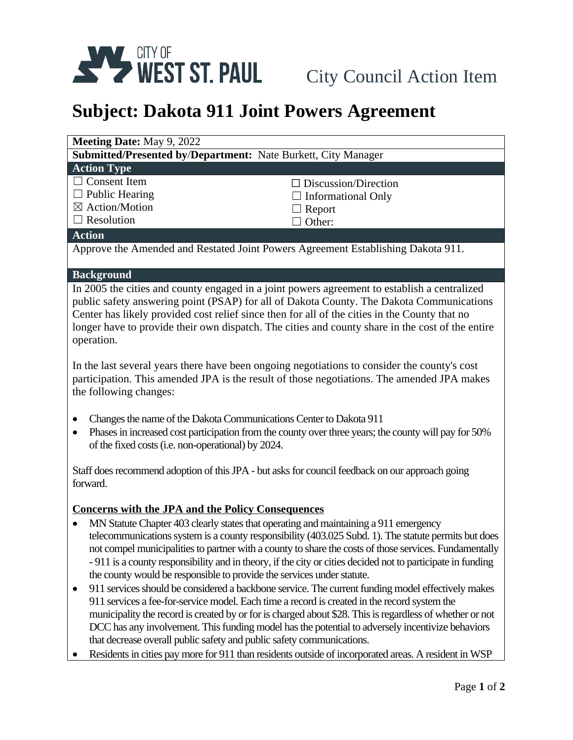

# **Subject: Dakota 911 Joint Powers Agreement**

| <b>Meeting Date: May 9, 2022</b>                                                 |                             |
|----------------------------------------------------------------------------------|-----------------------------|
| <b>Submitted/Presented by/Department:</b> Nate Burkett, City Manager             |                             |
| <b>Action Type</b>                                                               |                             |
| $\Box$ Consent Item                                                              | $\Box$ Discussion/Direction |
| $\Box$ Public Hearing                                                            | $\Box$ Informational Only   |
| $\boxtimes$ Action/Motion                                                        | $\Box$ Report               |
| $\Box$ Resolution                                                                | $\Box$ Other:               |
| <b>Action</b>                                                                    |                             |
| Approve the Amended and Restated Joint Powers Agreement Establishing Dakota 911. |                             |

## **Background**

In 2005 the cities and county engaged in a joint powers agreement to establish a centralized public safety answering point (PSAP) for all of Dakota County. The Dakota Communications Center has likely provided cost relief since then for all of the cities in the County that no longer have to provide their own dispatch. The cities and county share in the cost of the entire operation.

In the last several years there have been ongoing negotiations to consider the county's cost participation. This amended JPA is the result of those negotiations. The amended JPA makes the following changes:

- Changes the name of the Dakota Communications Center to Dakota 911
- Phases in increased cost participation from the county over three years; the county will pay for 50% of the fixed costs(i.e. non-operational) by 2024.

Staff does recommend adoption of this JPA - but asks for council feedback on our approach going forward.

## **Concerns with the JPA and the Policy Consequences**

- MN Statute Chapter 403 clearly states that operating and maintaining a 911 emergency telecommunications system is a county responsibility (403.025 Subd. 1). The statute permits but does not compel municipalities to partner with a county to share the costs of those services. Fundamentally - 911 is a county responsibility and in theory, if the city or cities decided not to participate in funding the county would be responsible to provide the services under statute.
- 911 services should be considered a backbone service. The current funding model effectively makes 911 services a fee-for-service model. Each time a record is created in the record system the municipality the record is created by or for is charged about \$28. This is regardless of whether or not DCC has any involvement. This funding model has the potential to adversely incentivize behaviors that decrease overall public safety and public safety communications.
- Residents in cities pay more for 911 than residents outside of incorporated areas. A resident in WSP